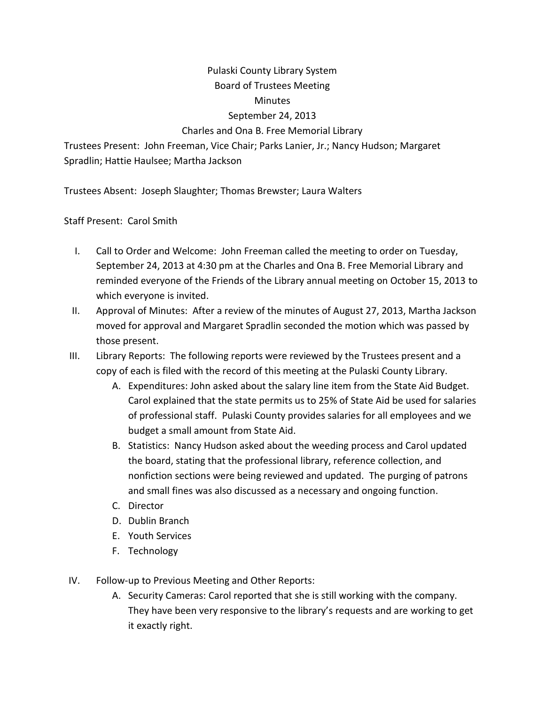## Pulaski County Library System Board of Trustees Meeting **Minutes** September 24, 2013

## Charles and Ona B. Free Memorial Library

Trustees Present: John Freeman, Vice Chair; Parks Lanier, Jr.; Nancy Hudson; Margaret Spradlin; Hattie Haulsee; Martha Jackson

Trustees Absent: Joseph Slaughter; Thomas Brewster; Laura Walters

Staff Present: Carol Smith

- I. Call to Order and Welcome: John Freeman called the meeting to order on Tuesday, September 24, 2013 at 4:30 pm at the Charles and Ona B. Free Memorial Library and reminded everyone of the Friends of the Library annual meeting on October 15, 2013 to which everyone is invited.
- II. Approval of Minutes: After a review of the minutes of August 27, 2013, Martha Jackson moved for approval and Margaret Spradlin seconded the motion which was passed by those present.
- III. Library Reports: The following reports were reviewed by the Trustees present and a copy of each is filed with the record of this meeting at the Pulaski County Library.
	- A. Expenditures: John asked about the salary line item from the State Aid Budget. Carol explained that the state permits us to 25% of State Aid be used for salaries of professional staff. Pulaski County provides salaries for all employees and we budget a small amount from State Aid.
	- B. Statistics: Nancy Hudson asked about the weeding process and Carol updated the board, stating that the professional library, reference collection, and nonfiction sections were being reviewed and updated. The purging of patrons and small fines was also discussed as a necessary and ongoing function.
	- C. Director
	- D. Dublin Branch
	- E. Youth Services
	- F. Technology
- IV. Follow-up to Previous Meeting and Other Reports:
	- A. Security Cameras: Carol reported that she is still working with the company. They have been very responsive to the library's requests and are working to get it exactly right.